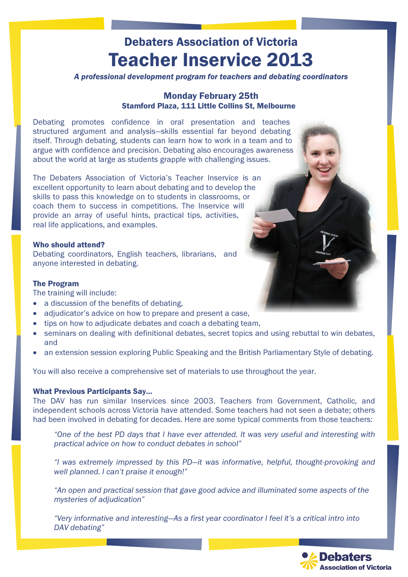# Debaters Association of Victoria Teacher Inservice 2013

A professional development program for teachers and debating coordinators

## Monday February 25th Stamford Plaza, 111 Little Collins St, Melbourne

Debating promotes confidence in oral presentation and teaches structured argument and analysis—skills essential far beyond debating itself. Through debating, students can learn how to work in a team and to argue with confidence and precision. Debating also encourages awareness about the world at large as students grapple with challenging issues.

The Debaters Association of Victoria's Teacher Inservice is an excellent opportunity to learn about debating and to develop the skills to pass this knowledge on to students in classrooms, or coach them to success in competitions. The Inservice will provide an array of useful hints, practical tips, activities, real life applications, and examples.

### Who should attend?

Debating coordinators, English teachers, librarians, and anyone interested in debating.

### The Program

The training will include:

- a discussion of the benefits of debating,
- adjudicator's advice on how to prepare and present a case,
- tips on how to adjudicate debates and coach a debating team.
- seminars on dealing with definitional debates, secret topics and using rebuttal to win debates, and
- an extension session exploring Public Speaking and the British Parliamentary Style of debating.

You will also receive a comprehensive set of materials to use throughout the year.

### What Previous Participants Say…

The DAV has run similar Inservices since 2003. Teachers from Government, Catholic, and independent schools across Victoria have attended. Some teachers had not seen a debate; others had been involved in debating for decades. Here are some typical comments from those teachers:

 "One of the best PD days that I have ever attended. It was very useful and interesting with practical advice on how to conduct debates in school"

 "I was extremely impressed by this PD—it was informative, helpful, thought-provoking and well planned. I can't praise it enough!"

 "An open and practical session that gave good advice and illuminated some aspects of the mysteries of adjudication"

"Very informative and interesting—As a first year coordinator I feel it's a critical intro into DAV debating"

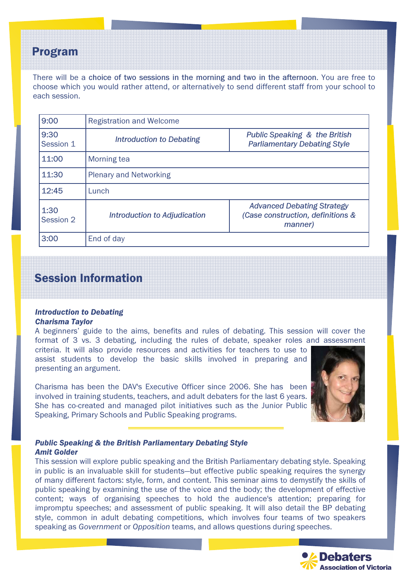# Program

There will be a choice of two sessions in the morning and two in the afternoon. You are free to choose which you would rather attend, or alternatively to send different staff from your school to each session.

| 9:00              | <b>Registration and Welcome</b>     |                                                                                   |  |
|-------------------|-------------------------------------|-----------------------------------------------------------------------------------|--|
| 9:30<br>Session 1 | Introduction to Debating            | <b>Public Speaking &amp; the British</b><br><b>Parliamentary Debating Style</b>   |  |
| 11:00             | Morning tea                         |                                                                                   |  |
| 11:30             | <b>Plenary and Networking</b>       |                                                                                   |  |
| 12:45             | Lunch                               |                                                                                   |  |
| 1:30<br>Session 2 | <b>Introduction to Adjudication</b> | <b>Advanced Debating Strategy</b><br>(Case construction, definitions &<br>manner) |  |
| 3:00              | End of day                          |                                                                                   |  |

# Session Information

#### Introduction to Debating Charisma Taylor

A beginners' guide to the aims, benefits and rules of debating. This session will cover the format of 3 vs. 3 debating, including the rules of debate, speaker roles and assessment

criteria. It will also provide resources and activities for teachers to use to assist students to develop the basic skills involved in preparing and presenting an argument.

Charisma has been the DAV's Executive Officer since 2006. She has been involved in training students, teachers, and adult debaters for the last 6 years. She has co-created and managed pilot initiatives such as the Junior Public Speaking, Primary Schools and Public Speaking programs.



## Public Speaking & the British Parliamentary Debating Style Amit Golder

This session will explore public speaking and the British Parliamentary debating style. Speaking in public is an invaluable skill for students—but effective public speaking requires the synergy of many different factors: style, form, and content. This seminar aims to demystify the skills of public speaking by examining the use of the voice and the body; the development of effective content; ways of organising speeches to hold the audience's attention; preparing for impromptu speeches; and assessment of public speaking. It will also detail the BP debating style, common in adult debating competitions, which involves four teams of two speakers speaking as Government or Opposition teams, and allows questions during speeches.

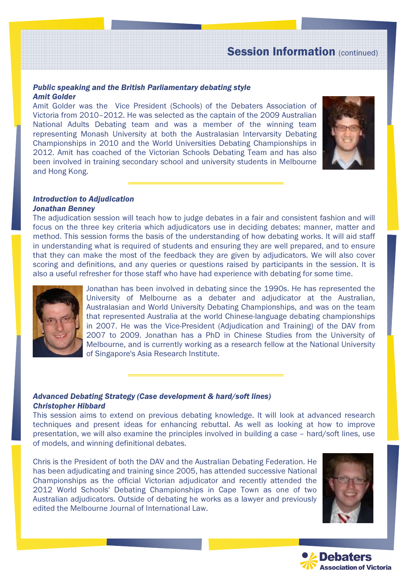# Session Information (continued)

#### Public speaking and the British Parliamentary debating style Amit Golder

Amit Golder was the Vice President (Schools) of the Debaters Association of Victoria from 2010–2012. He was selected as the captain of the 2009 Australian National Adults Debating team and was a member of the winning team representing Monash University at both the Australasian Intervarsity Debating Championships in 2010 and the World Universities Debating Championships in 2012. Amit has coached of the Victorian Schools Debating Team and has also been involved in training secondary school and university students in Melbourne and Hong Kong.



#### Introduction to Adjudication Jonathan Benney

The adjudication session will teach how to judge debates in a fair and consistent fashion and will focus on the three key criteria which adjudicators use in deciding debates: manner, matter and method. This session forms the basis of the understanding of how debating works. It will aid staff in understanding what is required of students and ensuring they are well prepared, and to ensure that they can make the most of the feedback they are given by adjudicators. We will also cover scoring and definitions, and any queries or questions raised by participants in the session. It is also a useful refresher for those staff who have had experience with debating for some time.



Jonathan has been involved in debating since the 1990s. He has represented the University of Melbourne as a debater and adjudicator at the Australian, Australasian and World University Debating Championships, and was on the team that represented Australia at the world Chinese-language debating championships in 2007. He was the Vice-President (Adjudication and Training) of the DAV from 2007 to 2009. Jonathan has a PhD in Chinese Studies from the University of Melbourne, and is currently working as a research fellow at the National University of Singapore's Asia Research Institute.

#### Advanced Debating Strategy (Case development & hard/soft lines) Christopher Hibbard

This session aims to extend on previous debating knowledge. It will look at advanced research techniques and present ideas for enhancing rebuttal. As well as looking at how to improve presentation, we will also examine the principles involved in building a case – hard/soft lines, use of models, and winning definitional debates.

Chris is the President of both the DAV and the Australian Debating Federation. He has been adjudicating and training since 2005, has attended successive National Championships as the official Victorian adjudicator and recently attended the 2012 World Schools' Debating Championships in Cape Town as one of two Australian adjudicators. Outside of debating he works as a lawyer and previously edited the Melbourne Journal of International Law.